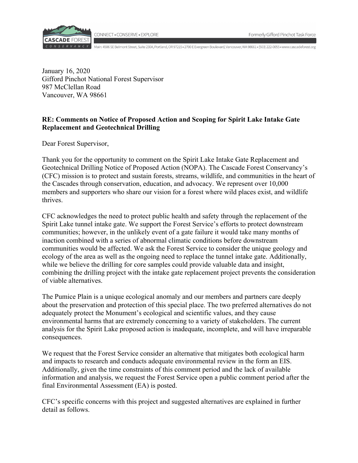

CONNECT . CONSERVE . EXPLORE

R V A N C Y Main: 4506 SE Belmont Street, Suite 230A, Portland, OR 97215 · 2700 E Evergreen Boulevard, Vancouver, WA 98661 · (503) 222-0055 · www.cascadeforest.org

January 16, 2020 Gifford Pinchot National Forest Supervisor 987 McClellan Road Vancouver, WA 98661

# **RE: Comments on Notice of Proposed Action and Scoping for Spirit Lake Intake Gate Replacement and Geotechnical Drilling**

Dear Forest Supervisor,

Thank you for the opportunity to comment on the Spirit Lake Intake Gate Replacement and Geotechnical Drilling Notice of Proposed Action (NOPA). The Cascade Forest Conservancy's (CFC) mission is to protect and sustain forests, streams, wildlife, and communities in the heart of the Cascades through conservation, education, and advocacy. We represent over 10,000 members and supporters who share our vision for a forest where wild places exist, and wildlife thrives.

CFC acknowledges the need to protect public health and safety through the replacement of the Spirit Lake tunnel intake gate. We support the Forest Service's efforts to protect downstream communities; however, in the unlikely event of a gate failure it would take many months of inaction combined with a series of abnormal climatic conditions before downstream communities would be affected. We ask the Forest Service to consider the unique geology and ecology of the area as well as the ongoing need to replace the tunnel intake gate. Additionally, while we believe the drilling for core samples could provide valuable data and insight, combining the drilling project with the intake gate replacement project prevents the consideration of viable alternatives.

The Pumice Plain is a unique ecological anomaly and our members and partners care deeply about the preservation and protection of this special place. The two preferred alternatives do not adequately protect the Monument's ecological and scientific values, and they cause environmental harms that are extremely concerning to a variety of stakeholders. The current analysis for the Spirit Lake proposed action is inadequate, incomplete, and will have irreparable consequences.

We request that the Forest Service consider an alternative that mitigates both ecological harm and impacts to research and conducts adequate environmental review in the form an EIS. Additionally, given the time constraints of this comment period and the lack of available information and analysis, we request the Forest Service open a public comment period after the final Environmental Assessment (EA) is posted.

CFC's specific concerns with this project and suggested alternatives are explained in further detail as follows.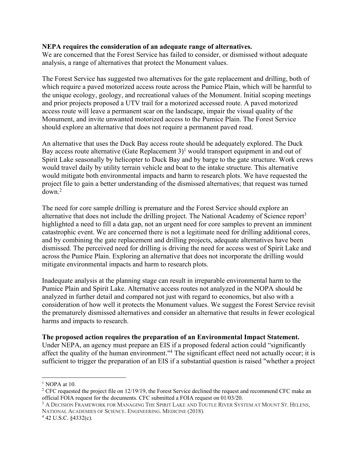# **NEPA requires the consideration of an adequate range of alternatives.**

We are concerned that the Forest Service has failed to consider, or dismissed without adequate analysis, a range of alternatives that protect the Monument values.

The Forest Service has suggested two alternatives for the gate replacement and drilling, both of which require a paved motorized access route across the Pumice Plain, which will be harmful to the unique ecology, geology, and recreational values of the Monument. Initial scoping meetings and prior projects proposed a UTV trail for a motorized accessed route. A paved motorized access route will leave a permanent scar on the landscape, impair the visual quality of the Monument, and invite unwanted motorized access to the Pumice Plain. The Forest Service should explore an alternative that does not require a permanent paved road.

An alternative that uses the Duck Bay access route should be adequately explored. The Duck Bay access route alternative (Gate Replacement  $3$ )<sup>1</sup> would transport equipment in and out of Spirit Lake seasonally by helicopter to Duck Bay and by barge to the gate structure. Work crews would travel daily by utility terrain vehicle and boat to the intake structure. This alternative would mitigate both environmental impacts and harm to research plots. We have requested the project file to gain a better understanding of the dismissed alternatives; that request was turned down.2

The need for core sample drilling is premature and the Forest Service should explore an alternative that does not include the drilling project. The National Academy of Science report<sup>3</sup> highlighted a need to fill a data gap, not an urgent need for core samples to prevent an imminent catastrophic event. We are concerned there is not a legitimate need for drilling additional cores, and by combining the gate replacement and drilling projects, adequate alternatives have been dismissed. The perceived need for drilling is driving the need for access west of Spirit Lake and across the Pumice Plain. Exploring an alternative that does not incorporate the drilling would mitigate environmental impacts and harm to research plots.

Inadequate analysis at the planning stage can result in irreparable environmental harm to the Pumice Plain and Spirit Lake. Alternative access routes not analyzed in the NOPA should be analyzed in further detail and compared not just with regard to economics, but also with a consideration of how well it protects the Monument values. We suggest the Forest Service revisit the prematurely dismissed alternatives and consider an alternative that results in fewer ecological harms and impacts to research.

# **The proposed action requires the preparation of an Environmental Impact Statement.**

Under NEPA, an agency must prepare an EIS if a proposed federal action could "significantly affect the quality of the human environment."4 The significant effect need not actually occur; it is sufficient to trigger the preparation of an EIS if a substantial question is raised "whether a project

 $1$  NOPA at 10.

<sup>&</sup>lt;sup>2</sup> CFC requested the project file on  $12/19/19$ , the Forest Service declined the request and recommend CFC make an official FOIA request for the documents. CFC submitted a FOIA request on 01/03/20.

<sup>3</sup> A DECISION FRAMEWORK FOR MANAGING THE SPIRIT LAKE AND TOUTLE RIVER SYSTEM AT MOUNT ST. HELENS, NATIONAL ACADEMIES OF SCIENCE. ENGINEERING. MEDICINE (2018).

<sup>4</sup> 42 U.S.C. §4332(c).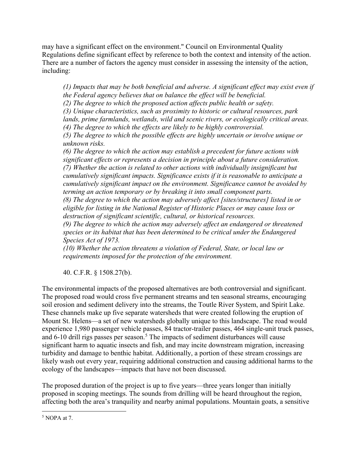may have a significant effect on the environment." Council on Environmental Quality Regulations define significant effect by reference to both the context and intensity of the action. There are a number of factors the agency must consider in assessing the intensity of the action, including:

*(1) Impacts that may be both beneficial and adverse. A significant effect may exist even if the Federal agency believes that on balance the effect will be beneficial.*

*(2) The degree to which the proposed action affects public health or safety.*

*(3) Unique characteristics, such as proximity to historic or cultural resources, park* 

*lands, prime farmlands, wetlands, wild and scenic rivers, or ecologically critical areas.*

*(4) The degree to which the effects are likely to be highly controversial.*

*(5) The degree to which the possible effects are highly uncertain or involve unique or unknown risks.*

*(6) The degree to which the action may establish a precedent for future actions with significant effects or represents a decision in principle about a future consideration. (7) Whether the action is related to other actions with individually insignificant but cumulatively significant impacts. Significance exists if it is reasonable to anticipate a cumulatively significant impact on the environment. Significance cannot be avoided by terming an action temporary or by breaking it into small component parts.*

*(8) The degree to which the action may adversely affect [sites/structures] listed in or eligible for listing in the National Register of Historic Places or may cause loss or destruction of significant scientific, cultural, or historical resources.*

*(9) The degree to which the action may adversely affect an endangered or threatened species or its habitat that has been determined to be critical under the Endangered Species Act of 1973.*

*(10) Whether the action threatens a violation of Federal, State, or local law or requirements imposed for the protection of the environment.*

40. C.F.R. § 1508.27(b).

The environmental impacts of the proposed alternatives are both controversial and significant. The proposed road would cross five permanent streams and ten seasonal streams, encouraging soil erosion and sediment delivery into the streams, the Toutle River System, and Spirit Lake. These channels make up five separate watersheds that were created following the eruption of Mount St. Helens—a set of new watersheds globally unique to this landscape. The road would experience 1,980 passenger vehicle passes, 84 tractor-trailer passes, 464 single-unit truck passes, and 6-10 drill rigs passes per season.<sup>5</sup> The impacts of sediment disturbances will cause significant harm to aquatic insects and fish, and may incite downstream migration, increasing turbidity and damage to benthic habitat. Additionally, a portion of these stream crossings are likely wash out every year, requiring additional construction and causing additional harms to the ecology of the landscapes—impacts that have not been discussed.

The proposed duration of the project is up to five years—three years longer than initially proposed in scoping meetings. The sounds from drilling will be heard throughout the region, affecting both the area's tranquility and nearby animal populations. Mountain goats, a sensitive

 $<sup>5</sup>$  NOPA at 7.</sup>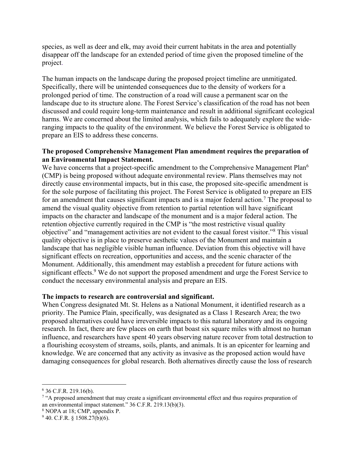species, as well as deer and elk, may avoid their current habitats in the area and potentially disappear off the landscape for an extended period of time given the proposed timeline of the project.

The human impacts on the landscape during the proposed project timeline are unmitigated. Specifically, there will be unintended consequences due to the density of workers for a prolonged period of time. The construction of a road will cause a permanent scar on the landscape due to its structure alone. The Forest Service's classification of the road has not been discussed and could require long-term maintenance and result in additional significant ecological harms. We are concerned about the limited analysis, which fails to adequately explore the wideranging impacts to the quality of the environment. We believe the Forest Service is obligated to prepare an EIS to address these concerns.

# **The proposed Comprehensive Management Plan amendment requires the preparation of an Environmental Impact Statement.**

We have concerns that a project-specific amendment to the Comprehensive Management Plan<sup>6</sup> (CMP) is being proposed without adequate environmental review. Plans themselves may not directly cause environmental impacts, but in this case, the proposed site-specific amendment is for the sole purpose of facilitating this project. The Forest Service is obligated to prepare an EIS for an amendment that causes significant impacts and is a major federal action.<sup>7</sup> The proposal to amend the visual quality objective from retention to partial retention will have significant impacts on the character and landscape of the monument and is a major federal action. The retention objective currently required in the CMP is "the most restrictive visual quality objective" and "management activities are not evident to the casual forest visitor."8 This visual quality objective is in place to preserve aesthetic values of the Monument and maintain a landscape that has negligible visible human influence. Deviation from this objective will have significant effects on recreation, opportunities and access, and the scenic character of the Monument. Additionally, this amendment may establish a precedent for future actions with significant effects.<sup>9</sup> We do not support the proposed amendment and urge the Forest Service to conduct the necessary environmental analysis and prepare an EIS.

# **The impacts to research are controversial and significant.**

When Congress designated Mt. St. Helens as a National Monument, it identified research as a priority. The Pumice Plain, specifically, was designated as a Class 1 Research Area; the two proposed alternatives could have irreversible impacts to this natural laboratory and its ongoing research. In fact, there are few places on earth that boast six square miles with almost no human influence, and researchers have spent 40 years observing nature recover from total destruction to a flourishing ecosystem of streams, soils, plants, and animals. It is an epicenter for learning and knowledge. We are concerned that any activity as invasive as the proposed action would have damaging consequences for global research. Both alternatives directly cause the loss of research

 $6$  36 C.F.R. 219.16(b).

<sup>&</sup>lt;sup>7</sup> "A proposed amendment that may create a significant environmental effect and thus requires preparation of an environmental impact statement." 36 C.F.R. 219.13(b)(3).

<sup>8</sup> NOPA at 18; CMP, appendix P.

 $940.$  C.F.R. § 1508.27(b)(6).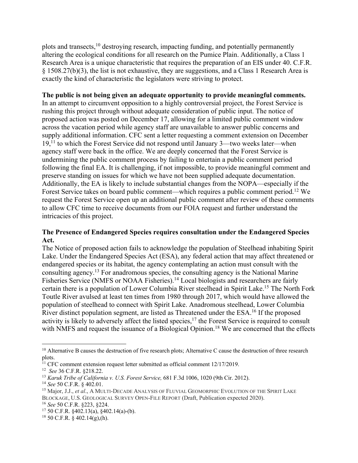plots and transects, <sup>10</sup> destroying research, impacting funding, and potentially permanently altering the ecological conditions for all research on the Pumice Plain. Additionally, a Class 1 Research Area is a unique characteristic that requires the preparation of an EIS under 40. C.F.R. § 1508.27(b)(3), the list is not exhaustive, they are suggestions, and a Class 1 Research Area is exactly the kind of characteristic the legislators were striving to protect.

# **The public is not being given an adequate opportunity to provide meaningful comments.**

In an attempt to circumvent opposition to a highly controversial project, the Forest Service is rushing this project through without adequate consideration of public input. The notice of proposed action was posted on December 17, allowing for a limited public comment window across the vacation period while agency staff are unavailable to answer public concerns and supply additional information. CFC sent a letter requesting a comment extension on December 19,<sup>11</sup> to which the Forest Service did not respond until January 3—two weeks later—when agency staff were back in the office. We are deeply concerned that the Forest Service is undermining the public comment process by failing to entertain a public comment period following the final EA. It is challenging, if not impossible, to provide meaningful comment and preserve standing on issues for which we have not been supplied adequate documentation. Additionally, the EA is likely to include substantial changes from the NOPA—especially if the Forest Service takes on board public comment—which requires a public comment period.12 We request the Forest Service open up an additional public comment after review of these comments to allow CFC time to receive documents from our FOIA request and further understand the intricacies of this project.

# **The Presence of Endangered Species requires consultation under the Endangered Species Act.**

The Notice of proposed action fails to acknowledge the population of Steelhead inhabiting Spirit Lake. Under the Endangered Species Act (ESA), any federal action that may affect threatened or endangered species or its habitat, the agency contemplating an action must consult with the consulting agency.13 For anadromous species, the consulting agency is the National Marine Fisheries Service (NMFS or NOAA Fisheries).<sup>14</sup> Local biologists and researchers are fairly certain there is a population of Lower Columbia River steelhead in Spirit Lake.15 The North Fork Toutle River avulsed at least ten times from 1980 through 2017, which would have allowed the population of steelhead to connect with Spirit Lake. Anadromous steelhead, Lower Columbia River distinct population segment, are listed as Threatened under the ESA.<sup>16</sup> If the proposed activity is likely to adversely affect the listed species,<sup>17</sup> the Forest Service is required to consult with NMFS and request the issuance of a Biological Opinion.<sup>18</sup> We are concerned that the effects

<sup>&</sup>lt;sup>10</sup> Alternative B causes the destruction of five research plots; Alternative C cause the destruction of three research plots.<br><sup>11</sup> CFC comment extension request letter submitted as official comment 12/17/2019.

<sup>&</sup>lt;sup>12</sup> See 36 C.F.R. §218.22.<br><sup>13</sup> Karuk Tribe of California v. U.S. Forest Service, 681 F.3d 1006, 1020 (9th Cir. 2012).<br><sup>14</sup> See 50 C.F.R. § 402.01.<br><sup>15</sup> Major, J.J., *et al., A MULTI-DECADE ANALYSIS OF FLUVIAL GEOMORPHIC* BLOCKAGE, U.S. GEOLOGICAL SURVEY OPEN-FILE REPORT (Draft, Publication expected 2020).

<sup>16</sup> *See* 50 C.F.R. §223, §224.

<sup>&</sup>lt;sup>17</sup> 50 C.F.R. §402.13(a), §402.14(a)-(b).<br><sup>18</sup> 50 C.F.R. § 402.14(g),(h).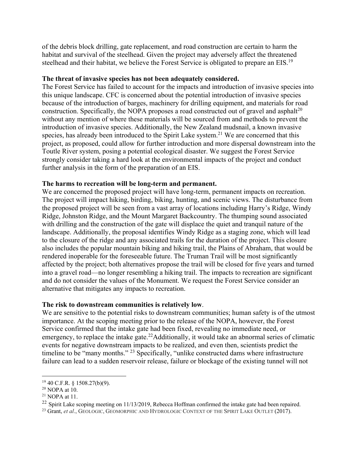of the debris block drilling, gate replacement, and road construction are certain to harm the habitat and survival of the steelhead. Given the project may adversely affect the threatened steelhead and their habitat, we believe the Forest Service is obligated to prepare an EIS.<sup>19</sup>

#### **The threat of invasive species has not been adequately considered.**

The Forest Service has failed to account for the impacts and introduction of invasive species into this unique landscape. CFC is concerned about the potential introduction of invasive species because of the introduction of barges, machinery for drilling equipment, and materials for road construction. Specifically, the NOPA proposes a road constructed out of gravel and asphalt<sup>20</sup> without any mention of where these materials will be sourced from and methods to prevent the introduction of invasive species. Additionally, the New Zealand mudsnail, a known invasive species, has already been introduced to the Spirit Lake system.<sup>21</sup> We are concerned that this project, as proposed, could allow for further introduction and more dispersal downstream into the Toutle River system, posing a potential ecological disaster. We suggest the Forest Service strongly consider taking a hard look at the environmental impacts of the project and conduct further analysis in the form of the preparation of an EIS.

#### **The harms to recreation will be long-term and permanent.**

We are concerned the proposed project will have long-term, permanent impacts on recreation. The project will impact hiking, birding, biking, hunting, and scenic views. The disturbance from the proposed project will be seen from a vast array of locations including Harry's Ridge, Windy Ridge, Johnston Ridge, and the Mount Margaret Backcountry. The thumping sound associated with drilling and the construction of the gate will displace the quiet and tranquil nature of the landscape. Additionally, the proposal identifies Windy Ridge as a staging zone, which will lead to the closure of the ridge and any associated trails for the duration of the project. This closure also includes the popular mountain biking and hiking trail, the Plains of Abraham, that would be rendered inoperable for the foreseeable future. The Truman Trail will be most significantly affected by the project; both alternatives propose the trail will be closed for five years and turned into a gravel road—no longer resembling a hiking trail. The impacts to recreation are significant and do not consider the values of the Monument. We request the Forest Service consider an alternative that mitigates any impacts to recreation.

# **The risk to downstream communities is relatively low**.

We are sensitive to the potential risks to downstream communities; human safety is of the utmost importance. At the scoping meeting prior to the release of the NOPA, however, the Forest Service confirmed that the intake gate had been fixed, revealing no immediate need, or emergency, to replace the intake gate.<sup>22</sup>Additionally, it would take an abnormal series of climatic events for negative downstream impacts to be realized, and even then, scientists predict the timeline to be "many months." <sup>23</sup> Specifically, "unlike constructed dams where infrastructure failure can lead to a sudden reservoir release, failure or blockage of the existing tunnel will not

<sup>&</sup>lt;sup>19</sup> 40 C.F.R. § 1508.27(b)(9).<br><sup>20</sup> NOPA at 10.

 $21$  NOPA at 11.

<sup>&</sup>lt;sup>22</sup> Spirit Lake scoping meeting on 11/13/2019, Rebecca Hoffman confirmed the intake gate had been repaired.

<sup>&</sup>lt;sup>23</sup> Grant, *et al.*, GEOLOGIC, GEOMORPHIC AND HYDROLOGIC CONTEXT OF THE SPIRIT LAKE OUTLET (2017).